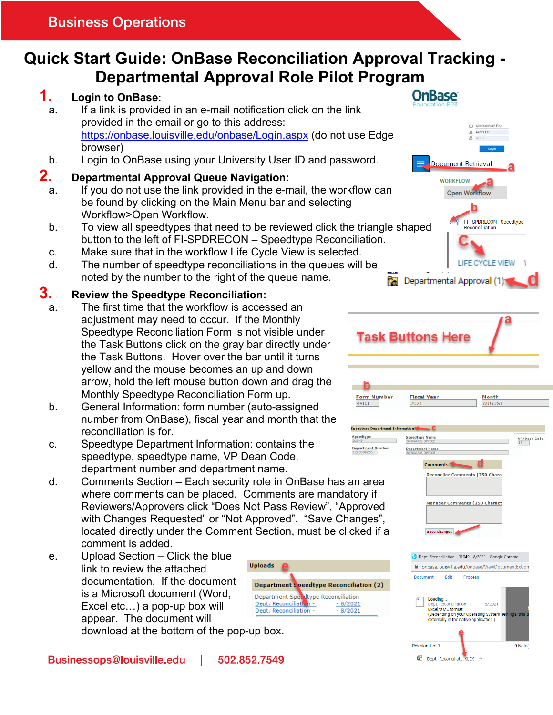# **Quick Start Guide: OnBase Reconciliation Approval Tracking - Departmental Approval Role Pilot Program**

## **1. Login to OnBase:**

- a. If a link is provided in an e-mail notification click on the link provided in the email or go to this address: https://onbase.louisville.edu/onbase/Login.aspx (do not use Edge browser)
- b. Login to OnBase using your University User ID and password.

### **2. Departmental Approval Queue Navigation:**

- a. If you do not use the link provided in the e-mail, the workflow can be found by clicking on the Main Menu bar and selecting Workflow>Open Workflow.
- b. To view all speedtypes that need to be reviewed click the triangle shaped button to the left of FI-SPDRECON – Speedtype Reconciliation.
- c. Make sure that in the workflow Life Cycle View is selected.
- d. The number of speedtype reconciliations in the queues will be noted by the number to the right of the queue name.

### **3. Review the Speedtype Reconciliation:**

- a. The first time that the workflow is accessed an adjustment may need to occur. If the Monthly Speedtype Reconciliation Form is not visible under the Task Buttons click on the gray bar directly under the Task Buttons. Hover over the bar until it turns yellow and the mouse becomes an up and down arrow, hold the left mouse button down and drag the Monthly Speedtype Reconciliation Form up.
- b. General Information: form number (auto-assigned number from OnBase), fiscal year and month that the reconciliation is for.
- c. Speedtype Department Information: contains the speedtype, speedtype name, VP Dean Code, department number and department name.
- d. Comments Section Each security role in OnBase has an area where comments can be placed. Comments are mandatory if Reviewers/Approvers click "Does Not Pass Review", "Approved with Changes Requested" or "Not Approved". "Save Changes", located directly under the Comment Section, must be clicked if a comment is added.
- e. Upload Section Click the blue link to review the attached documentation. If the document is a Microsoft document (Word, Excel etc…) a pop-up box will appear. The document will



download at the bottom of the pop-up box.



**OnBase** 

| Dept. Reconciliation - 01049 - 8/2021 - Google Chrome |                                                                         |                                                      |
|-------------------------------------------------------|-------------------------------------------------------------------------|------------------------------------------------------|
| onbase.louisville.edu/onbase/ViewDocumentExCon<br>Ω   |                                                                         |                                                      |
| Fdit<br>Document                                      | <b>Process</b>                                                          |                                                      |
| Loading<br>Excel/XML format                           | Dept. Reconciliation - 9/2021<br>externally in the native application.) | (Depending on your Operating System settings, this d |
| Revision 1 of 1                                       |                                                                         | 0 Note(                                              |
|                                                       | Dept. ReconciliatXLSX                                                   |                                                      |

**Save Chang**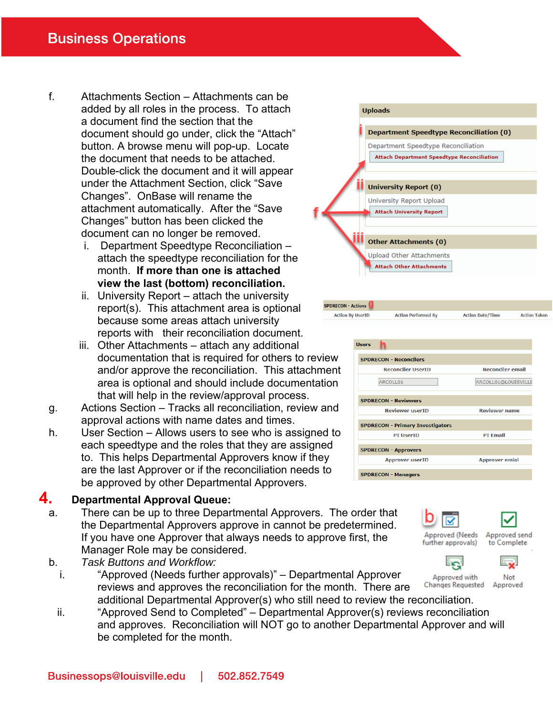- f. Attachments Section Attachments can be added by all roles in the process. To attach a document find the section that the document should go under, click the "Attach" button. A browse menu will pop-up. Locate the document that needs to be attached. Double-click the document and it will appear under the Attachment Section, click "Save Changes". OnBase will rename the attachment automatically. After the "Save Changes" button has been clicked the document can no longer be removed.
	- i. Department Speedtype Reconciliation attach the speedtype reconciliation for the month. **If more than one is attached view the last (bottom) reconciliation.**
	- ii. University Report attach the university report(s). This attachment area is optional because some areas attach university reports with their reconciliation document.
	- iii. Other Attachments attach any additional documentation that is required for others to review and/or approve the reconciliation. This attachment area is optional and should include documentation that will help in the review/approval process.
- g. Actions Section Tracks all reconciliation, review and approval actions with name dates and times.
- h. User Section Allows users to see who is assigned to each speedtype and the roles that they are assigned to. This helps Departmental Approvers know if they are the last Approver or if the reconciliation needs to be approved by other Departmental Approvers.

#### **4. Departmental Approval Queue:**

- a. There can be up to three Departmental Approvers. The order that the Departmental Approvers approve in cannot be predetermined. If you have one Approver that always needs to approve first, the Manager Role may be considered.
- b. *Task Buttons and Workflow:*
	- i. "Approved (Needs further approvals)" Departmental Approver Changes Requested reviews and approves the reconciliation for the month. There are additional Departmental Approver(s) who still need to review the reconciliation.
	- ii. "Approved Send to Completed" Departmental Approver(s) reviews reconciliation and approves. Reconciliation will NOT go to another Departmental Approver and will be completed for the month.



**Action Performed By** 

SPDRECON - Actions

**Action By UserID** 



**Action Date/Time** 

**Action Taken** 



L<sub>'S</sub>I

![](_page_1_Picture_15.jpeg)